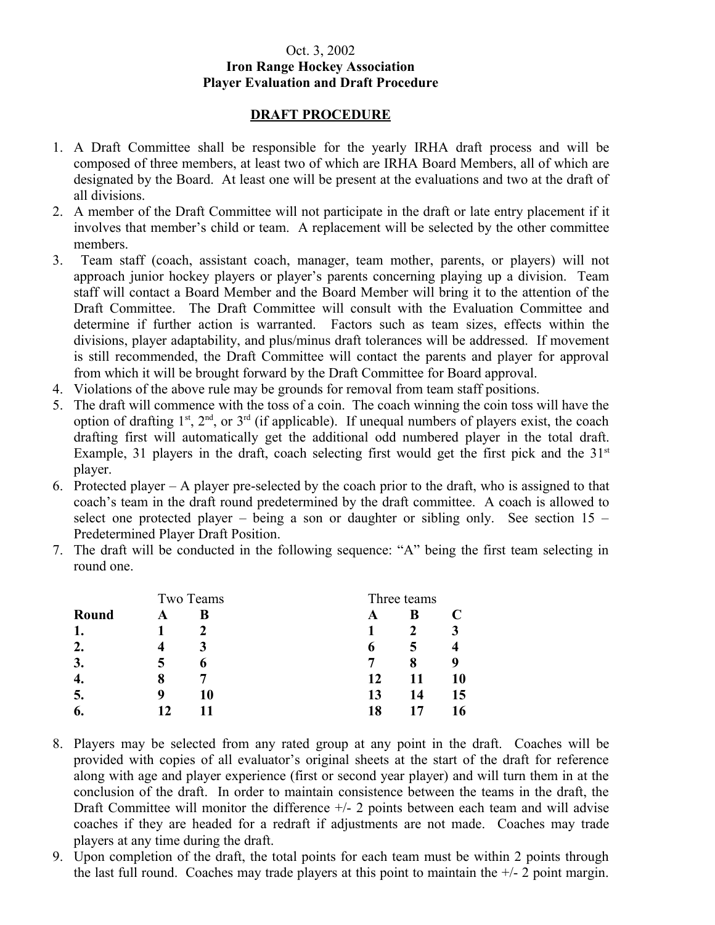## Oct. 3, 2002 **Iron Range Hockey Association Player Evaluation and Draft Procedure**

## **DRAFT PROCEDURE**

- 1. A Draft Committee shall be responsible for the yearly IRHA draft process and will be composed of three members, at least two of which are IRHA Board Members, all of which are designated by the Board. At least one will be present at the evaluations and two at the draft of all divisions.
- 2. A member of the Draft Committee will not participate in the draft or late entry placement if it involves that member's child or team. A replacement will be selected by the other committee members.
- 3. Team staff (coach, assistant coach, manager, team mother, parents, or players) will not approach junior hockey players or player's parents concerning playing up a division. Team staff will contact a Board Member and the Board Member will bring it to the attention of the Draft Committee. The Draft Committee will consult with the Evaluation Committee and determine if further action is warranted. Factors such as team sizes, effects within the divisions, player adaptability, and plus/minus draft tolerances will be addressed. If movement is still recommended, the Draft Committee will contact the parents and player for approval from which it will be brought forward by the Draft Committee for Board approval.
- 4. Violations of the above rule may be grounds for removal from team staff positions.
- 5. The draft will commence with the toss of a coin. The coach winning the coin toss will have the option of drafting  $1<sup>st</sup>$ ,  $2<sup>nd</sup>$ , or  $3<sup>rd</sup>$  (if applicable). If unequal numbers of players exist, the coach drafting first will automatically get the additional odd numbered player in the total draft. Example, 31 players in the draft, coach selecting first would get the first pick and the  $31<sup>st</sup>$ player.
- 6. Protected player A player pre-selected by the coach prior to the draft, who is assigned to that coach's team in the draft round predetermined by the draft committee. A coach is allowed to select one protected player – being a son or daughter or sibling only. See section  $15$  – Predetermined Player Draft Position.
- 7. The draft will be conducted in the following sequence: "A" being the first team selecting in round one.

|       | Two Teams |    | Three teams |    |    |
|-------|-----------|----|-------------|----|----|
| Round |           | R  | A           | B  |    |
|       |           |    |             |    |    |
| 2.    |           |    | 0           | 5  |    |
| 3.    |           | O  |             | 8  |    |
| 4.    | 8         |    | 12          | 11 | 10 |
|       | q         | 10 | 13          | 14 | 15 |
| o.    |           |    | 18          |    | 16 |

- 8. Players may be selected from any rated group at any point in the draft. Coaches will be provided with copies of all evaluator's original sheets at the start of the draft for reference along with age and player experience (first or second year player) and will turn them in at the conclusion of the draft. In order to maintain consistence between the teams in the draft, the Draft Committee will monitor the difference +/- 2 points between each team and will advise coaches if they are headed for a redraft if adjustments are not made. Coaches may trade players at any time during the draft.
- 9. Upon completion of the draft, the total points for each team must be within 2 points through the last full round. Coaches may trade players at this point to maintain the  $+/- 2$  point margin.